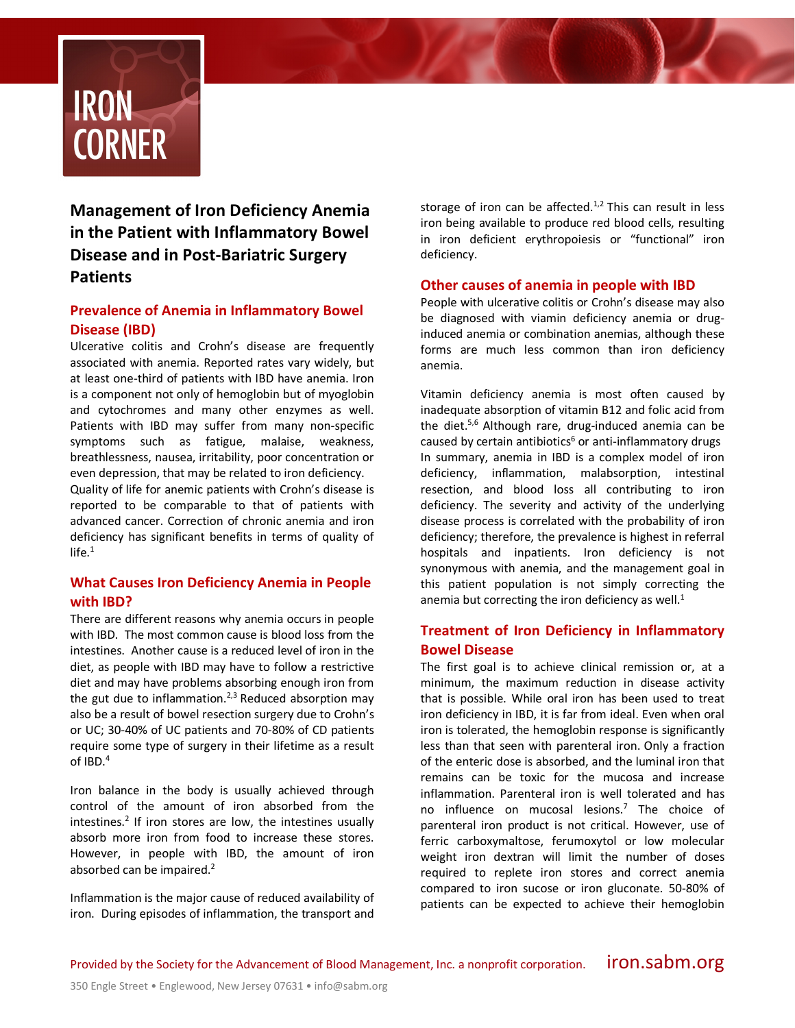

**Management of Iron Deficiency Anemia in the Patient with Inflammatory Bowel Disease and in Post-Bariatric Surgery Patients**

# **Prevalence of Anemia in Inflammatory Bowel Disease (IBD)**

Ulcerative colitis and Crohn's disease are frequently associated with anemia. Reported rates vary widely, but at least one-third of patients with IBD have anemia. Iron is a component not only of hemoglobin but of myoglobin and cytochromes and many other enzymes as well. Patients with IBD may suffer from many non-specific symptoms such as fatigue, malaise, weakness, breathlessness, nausea, irritability, poor concentration or even depression, that may be related to iron deficiency. Quality of life for anemic patients with Crohn's disease is reported to be comparable to that of patients with advanced cancer. Correction of chronic anemia and iron deficiency has significant benefits in terms of quality of  $life.<sup>1</sup>$ 

## **What Causes Iron Deficiency Anemia in People with IBD?**

There are different reasons why anemia occurs in people with IBD. The most common cause is blood loss from the intestines. Another cause is a reduced level of iron in the diet, as people with IBD may have to follow a restrictive diet and may have problems absorbing enough iron from the gut due to inflammation.<sup>2,3</sup> Reduced absorption may also be a result of bowel resection surgery due to Crohn's or UC; 30-40% of UC patients and 70-80% of CD patients require some type of surgery in their lifetime as a result of IBD. $4$ 

Iron balance in the body is usually achieved through control of the amount of iron absorbed from the intestines.<sup>2</sup> If iron stores are low, the intestines usually absorb more iron from food to increase these stores. However, in people with IBD, the amount of iron absorbed can be impaired.2

Inflammation is the major cause of reduced availability of iron. During episodes of inflammation, the transport and storage of iron can be affected. $1,2$  This can result in less iron being available to produce red blood cells, resulting in iron deficient erythropoiesis or "functional" iron deficiency.

#### **Other causes of anemia in people with IBD**

People with ulcerative colitis or Crohn's disease may also be diagnosed with viamin deficiency anemia or druginduced anemia or combination anemias, although these forms are much less common than iron deficiency anemia.

Vitamin deficiency anemia is most often caused by inadequate absorption of vitamin B12 and folic acid from the diet. $5,6$  Although rare, drug-induced anemia can be caused by certain antibiotics $6$  or anti-inflammatory drugs In summary, anemia in IBD is a complex model of iron deficiency, inflammation, malabsorption, intestinal resection, and blood loss all contributing to iron deficiency. The severity and activity of the underlying disease process is correlated with the probability of iron deficiency; therefore, the prevalence is highest in referral hospitals and inpatients. Iron deficiency is not synonymous with anemia, and the management goal in this patient population is not simply correcting the anemia but correcting the iron deficiency as well. $<sup>1</sup>$ </sup>

## **Treatment of Iron Deficiency in Inflammatory Bowel Disease**

The first goal is to achieve clinical remission or, at a minimum, the maximum reduction in disease activity that is possible. While oral iron has been used to treat iron deficiency in IBD, it is far from ideal. Even when oral iron is tolerated, the hemoglobin response is significantly less than that seen with parenteral iron. Only a fraction of the enteric dose is absorbed, and the luminal iron that remains can be toxic for the mucosa and increase inflammation. Parenteral iron is well tolerated and has no influence on mucosal lesions.7 The choice of parenteral iron product is not critical. However, use of ferric carboxymaltose, ferumoxytol or low molecular weight iron dextran will limit the number of doses required to replete iron stores and correct anemia compared to iron sucose or iron gluconate. 50-80% of patients can be expected to achieve their hemoglobin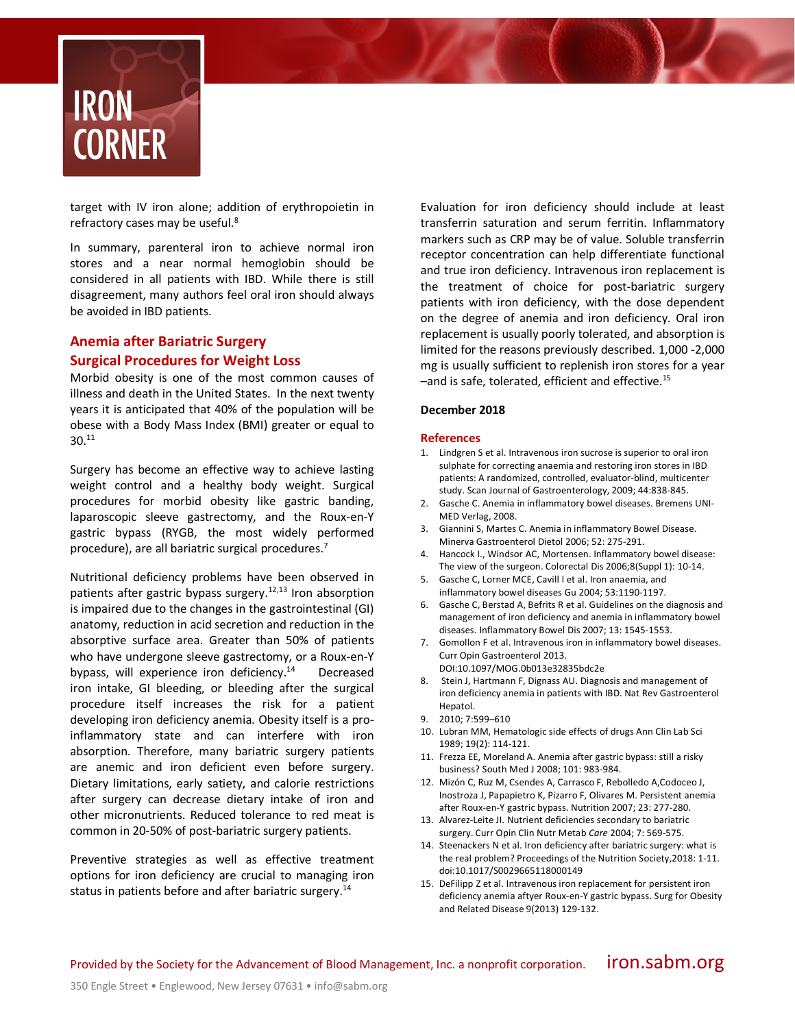

target with IV iron alone; addition of erythropoietin in refractory cases may be useful.<sup>8</sup>

In summary, parenteral iron to achieve normal iron stores and a near normal hemoglobin should be considered in all patients with IBD. While there is still disagreement, many authors feel oral iron should always be avoided in IBD patients.

# **Anemia after Bariatric Surgery Surgical Procedures for Weight Loss**

Morbid obesity is one of the most common causes of illness and death in the United States. In the next twenty years it is anticipated that 40% of the population will be obese with a Body Mass Index (BMI) greater or equal to  $30.<sup>11</sup>$ 

Surgery has become an effective way to achieve lasting weight control and a healthy body weight. Surgical procedures for morbid obesity like gastric banding, laparoscopic sleeve gastrectomy, and the Roux-en-Y gastric bypass (RYGB, the most widely performed procedure), are all bariatric surgical procedures. 7

Nutritional deficiency problems have been observed in patients after gastric bypass surgery.<sup>12,13</sup> Iron absorption is impaired due to the changes in the gastrointestinal (GI) anatomy, reduction in acid secretion and reduction in the absorptive surface area. Greater than 50% of patients who have undergone sleeve gastrectomy, or a Roux-en-Y bypass, will experience iron deficiency. $14$  Decreased iron intake, GI bleeding, or bleeding after the surgical procedure itself increases the risk for a patient developing iron deficiency anemia. Obesity itself is a proinflammatory state and can interfere with iron absorption. Therefore, many bariatric surgery patients are anemic and iron deficient even before surgery. Dietary limitations, early satiety, and calorie restrictions after surgery can decrease dietary intake of iron and other micronutrients. Reduced tolerance to red meat is common in 20-50% of post-bariatric surgery patients.

Preventive strategies as well as effective treatment options for iron deficiency are crucial to managing iron status in patients before and after bariatric surgery.<sup>14</sup>

Evaluation for iron deficiency should include at least transferrin saturation and serum ferritin. Inflammatory markers such as CRP may be of value. Soluble transferrin receptor concentration can help differentiate functional and true iron deficiency. Intravenous iron replacement is the treatment of choice for post-bariatric surgery patients with iron deficiency, with the dose dependent on the degree of anemia and iron deficiency. Oral iron replacement is usually poorly tolerated, and absorption is limited for the reasons previously described. 1,000 -2,000 mg is usually sufficient to replenish iron stores for a year –and is safe, tolerated, efficient and effective.15

#### **December 2018**

#### **References**

- 1. Lindgren S et al. Intravenous iron sucrose is superior to oral iron sulphate for correcting anaemia and restoring iron stores in IBD patients: A randomized, controlled, evaluator-blind, multicenter study. Scan Journal of Gastroenterology, 2009; 44:838-845.
- 2. Gasche C. Anemia in inflammatory bowel diseases. Bremens UNI-MED Verlag, 2008.
- 3. Giannini S, Martes C. Anemia in inflammatory Bowel Disease. Minerva Gastroenterol Dietol 2006; 52: 275-291.
- 4. Hancock I., Windsor AC, Mortensen. Inflammatory bowel disease: The view of the surgeon. Colorectal Dis 2006;8(Suppl 1): 10-14.
- 5. Gasche C, Lorner MCE, Cavill I et al. Iron anaemia, and inflammatory bowel diseases Gu 2004; 53:1190-1197.
- 6. Gasche C, Berstad A, Befrits R et al. Guidelines on the diagnosis and management of iron deficiency and anemia in inflammatory bowel diseases. Inflammatory Bowel Dis 2007; 13: 1545-1553.
- 7. Gomollon F et al. Intravenous iron in inflammatory bowel diseases. Curr Opin Gastroenterol 2013. DOI:10.1097/MOG.0b013e32835bdc2e
- 8. Stein J, Hartmann F, Dignass AU. Diagnosis and management of iron deficiency anemia in patients with IBD. Nat Rev Gastroenterol Hepatol.
- 9. 2010; 7:599–610
- 10. Lubran MM, Hematologic side effects of drugs Ann Clin Lab Sci 1989; 19(2): 114-121.
- 11. Frezza EE, Moreland A. Anemia after gastric bypass: still a risky business? South Med J 2008; 101: 983-984.
- 12. Mizón C, Ruz M, Csendes A, Carrasco F, Rebolledo A,Codoceo J, Inostroza J, Papapietro K, Pizarro F, Olivares M. Persistent anemia after Roux-en-Y gastric bypass. Nutrition 2007; 23: 277-280.
- 13. Alvarez-Leite JI. Nutrient deficiencies secondary to bariatric surgery. Curr Opin Clin Nutr Metab *Care* 2004; 7: 569-575.
- 14. Steenackers N et al. Iron deficiency after bariatric surgery: what is the real problem? Proceedings of the Nutrition Society,2018: 1-11. doi:10.1017/S0029665118000149
- 15. DeFilipp Z et al. Intravenous iron replacement for persistent iron deficiency anemia aftyer Roux-en-Y gastric bypass. Surg for Obesity and Related Disease 9(2013) 129-132.

Provided by the Society for the Advancement of Blood Management, Inc. a nonprofit corporation.  $i$  if On.Sabm.org